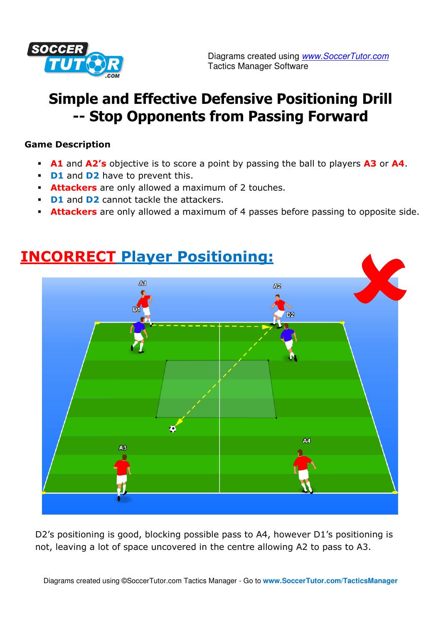

# **Simple and Effective Defensive Positioning Drill -- Stop Opponents from Passing Forward**

### **Game Description**

- **A1** and **A2's** objective is to score a point by passing the ball to players **A3** or **A4**.
- **D1** and **D2** have to prevent this.
- **Attackers** are only allowed a maximum of 2 touches.
- **D1** and **D2** cannot tackle the attackers.
- **Attackers** are only allowed a maximum of 4 passes before passing to opposite side.



D2's positioning is good, blocking possible pass to A4, however D1's positioning is not, leaving a lot of space uncovered in the centre allowing A2 to pass to A3.

## **INCORRECT Player Positioning:**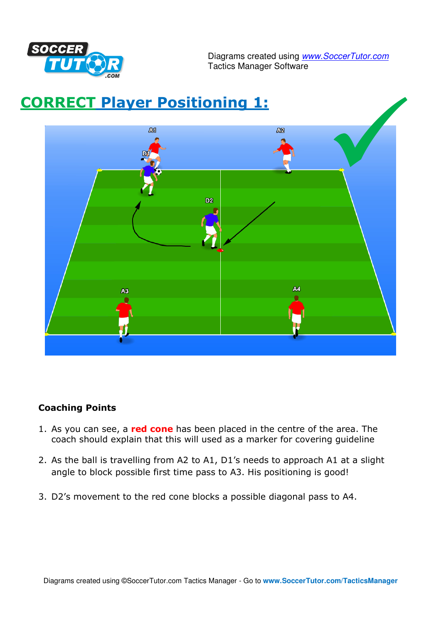

Diagrams created using **www.SoccerTutor.com** Tactics Manager Software



### **Coaching Points**

- 1. As you can see, a **red cone** has been placed in the centre of the area. The coach should explain that this will used as a marker for covering guideline
- 2. As the ball is travelling from A2 to A1, D1's needs to approach A1 at a slight angle to block possible first time pass to A3. His positioning is good!
- 3. D2's movement to the red cone blocks a possible diagonal pass to A4.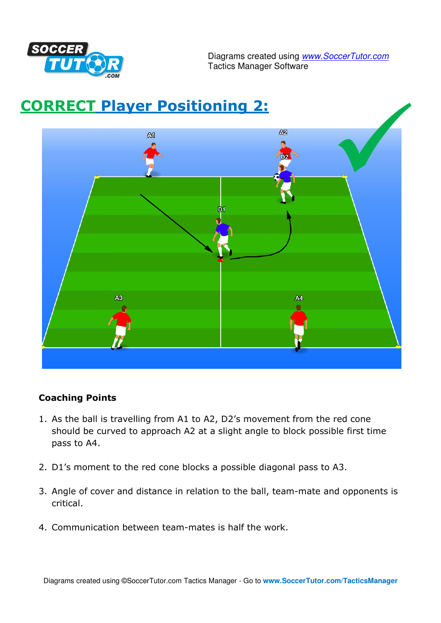

Diagrams created using **www.SoccerTutor.com** Tactics Manager Software



### **Coaching Points**

- 1. As the ball is travelling from A1 to A2, D2's movement from the red cone should be curved to approach A2 at a slight angle to block possible first time pass to A4.
- 2. D1's moment to the red cone blocks a possible diagonal pass to A3.
- 3. Angle of cover and distance in relation to the ball, team-mate and opponents is critical.
- 4. Communication between team-mates is half the work.